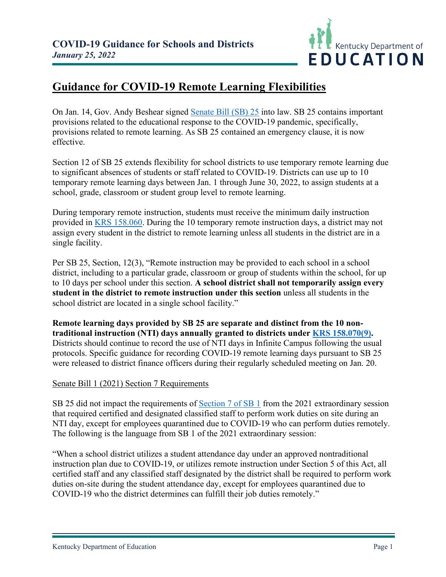

## **Guidance for COVID-19 Remote Learning Flexibilities**

On Jan. 14, Gov. Andy Beshear signed [Senate Bill \(SB\) 25](https://apps.legislature.ky.gov/record/22rs/sb25.html) into law. SB 25 contains important provisions related to the educational response to the COVID-19 pandemic, specifically, provisions related to remote learning. As SB 25 contained an emergency clause, it is now effective.

Section 12 of SB 25 extends flexibility for school districts to use temporary remote learning due to significant absences of students or staff related to COVID-19. Districts can use up to 10 temporary remote learning days between Jan. 1 through June 30, 2022, to assign students at a school, grade, classroom or student group level to remote learning.

During temporary remote instruction, students must receive the minimum daily instruction provided in [KRS 158.060.](https://apps.legislature.ky.gov/law/statutes/statute.aspx?id=3430) During the 10 temporary remote instruction days, a district may not assign every student in the district to remote learning unless all students in the district are in a single facility.

Per SB 25, Section, 12(3), "Remote instruction may be provided to each school in a school district, including to a particular grade, classroom or group of students within the school, for up to 10 days per school under this section. **A school district shall not temporarily assign every student in the district to remote instruction under this section** unless all students in the school district are located in a single school facility."

**Remote learning days provided by SB 25 are separate and distinct from the 10 nontraditional instruction (NTI) days annually granted to districts under [KRS 158.070\(9\).](https://apps.legislature.ky.gov/law/statutes/statute.aspx?id=48224)** Districts should continue to record the use of NTI days in Infinite Campus following the usual protocols. Specific guidance for recording COVID-19 remote learning days pursuant to SB 25 were released to district finance officers during their regularly scheduled meeting on Jan. 20.

## Senate Bill 1 (2021) Section 7 Requirements

SB 25 did not impact the requirements of [Section 7 of SB 1](https://apps.legislature.ky.gov/record/21SS/sb1.html) from the 2021 extraordinary session that required certified and designated classified staff to perform work duties on site during an NTI day, except for employees quarantined due to COVID-19 who can perform duties remotely. The following is the language from SB 1 of the 2021 extraordinary session:

"When a school district utilizes a student attendance day under an approved nontraditional instruction plan due to COVID-19, or utilizes remote instruction under Section 5 of this Act, all certified staff and any classified staff designated by the district shall be required to perform work duties on-site during the student attendance day, except for employees quarantined due to COVID-19 who the district determines can fulfill their job duties remotely."